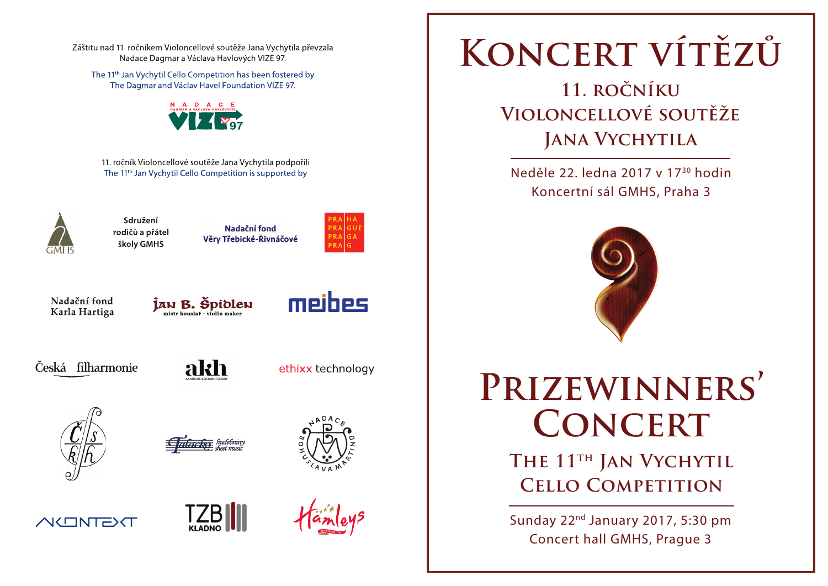Záštitu nad 11. ročníkem Violoncellové soutěže Jana Vychytila převzala Nadace Dagmar a Václava Havlových VIZE 97.

The 11<sup>th</sup> Jan Vychytil Cello Competition has been fostered by The Dagmar and Václav Havel Foundation VIZE 97.



11. ročník Violoncellové soutěže Jana Vychytila podpořili The 11<sup>th</sup> Jan Vychytil Cello Competition is supported by



Sdružení Nadační fond rodičů a přátel Věry Třebické-Řivnáčové školy GMHS





JAN B. Špidlen



Česká filharmonie



ethixx technology



Harko hudebnin









**Koncert vítězů**

**11. ročníku Violoncellové soutěže Jana Vychytila**

Neděle 22. ledna 2017 v 1730 hodin Koncertní sál GMHS, Praha 3



**Prizewinners' Concert**

> THE 11<sup>TH</sup> JAN VYCHYTIL **Cello Competition**

Sunday 22nd January 2017, 5:30 pm Concert hall GMHS, Prague 3